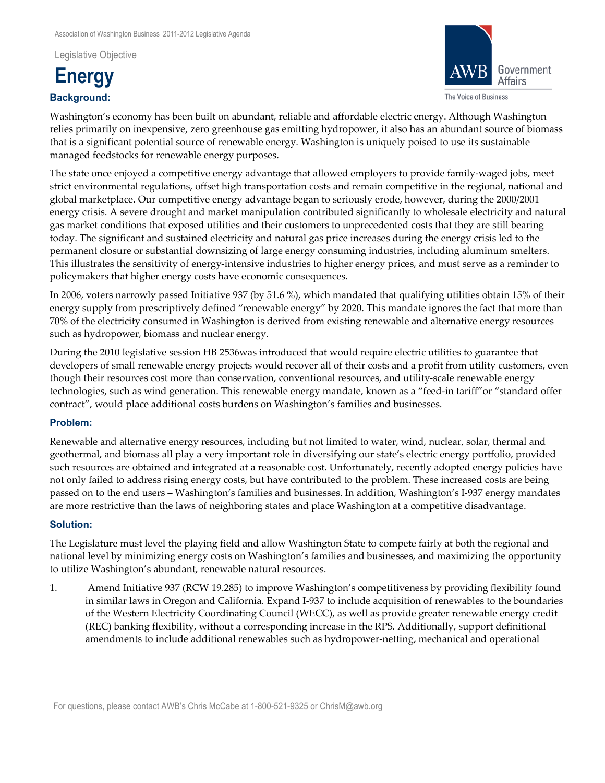Legislative Objective





Washington's economy has been built on abundant, reliable and affordable electric energy. Although Washington relies primarily on inexpensive, zero greenhouse gas emitting hydropower, it also has an abundant source of biomass that is a significant potential source of renewable energy. Washington is uniquely poised to use its sustainable managed feedstocks for renewable energy purposes.

The state once enjoyed a competitive energy advantage that allowed employers to provide family-waged jobs, meet strict environmental regulations, offset high transportation costs and remain competitive in the regional, national and global marketplace. Our competitive energy advantage began to seriously erode, however, during the 2000/2001 energy crisis. A severe drought and market manipulation contributed significantly to wholesale electricity and natural gas market conditions that exposed utilities and their customers to unprecedented costs that they are still bearing today. The significant and sustained electricity and natural gas price increases during the energy crisis led to the permanent closure or substantial downsizing of large energy consuming industries, including aluminum smelters. This illustrates the sensitivity of energy-intensive industries to higher energy prices, and must serve as a reminder to policymakers that higher energy costs have economic consequences.

In 2006, voters narrowly passed Initiative 937 (by 51.6 %), which mandated that qualifying utilities obtain 15% of their energy supply from prescriptively defined "renewable energy" by 2020. This mandate ignores the fact that more than 70% of the electricity consumed in Washington is derived from existing renewable and alternative energy resources such as hydropower, biomass and nuclear energy.

During the 2010 legislative session HB 2536was introduced that would require electric utilities to guarantee that developers of small renewable energy projects would recover all of their costs and a profit from utility customers, even though their resources cost more than conservation, conventional resources, and utility-scale renewable energy technologies, such as wind generation. This renewable energy mandate, known as a "feed-in tariff" or "standard offer contract", would place additional costs burdens on Washington's families and businesses.

## **Problem:**

Renewable and alternative energy resources, including but not limited to water, wind, nuclear, solar, thermal and geothermal, and biomass all play a very important role in diversifying our state's electric energy portfolio, provided such resources are obtained and integrated at a reasonable cost. Unfortunately, recently adopted energy policies have not only failed to address rising energy costs, but have contributed to the problem. These increased costs are being passed on to the end users – Washington's families and businesses. In addition, Washington's I‑937 energy mandates are more restrictive than the laws of neighboring states and place Washington at a competitive disadvantage.

## **Solution:**

The Legislature must level the playing field and allow Washington State to compete fairly at both the regional and national level by minimizing energy costs on Washington's families and businesses, and maximizing the opportunity to utilize Washington's abundant, renewable natural resources.

1. Amend Initiative 937 (RCW 19.285) to improve Washington's competitiveness by providing flexibility found in similar laws in Oregon and California. Expand I‑937 to include acquisition of renewables to the boundaries of the Western Electricity Coordinating Council (WECC), as well as provide greater renewable energy credit (REC) banking flexibility, without a corresponding increase in the RPS. Additionally, support definitional amendments to include additional renewables such as hydropower‑netting, mechanical and operational